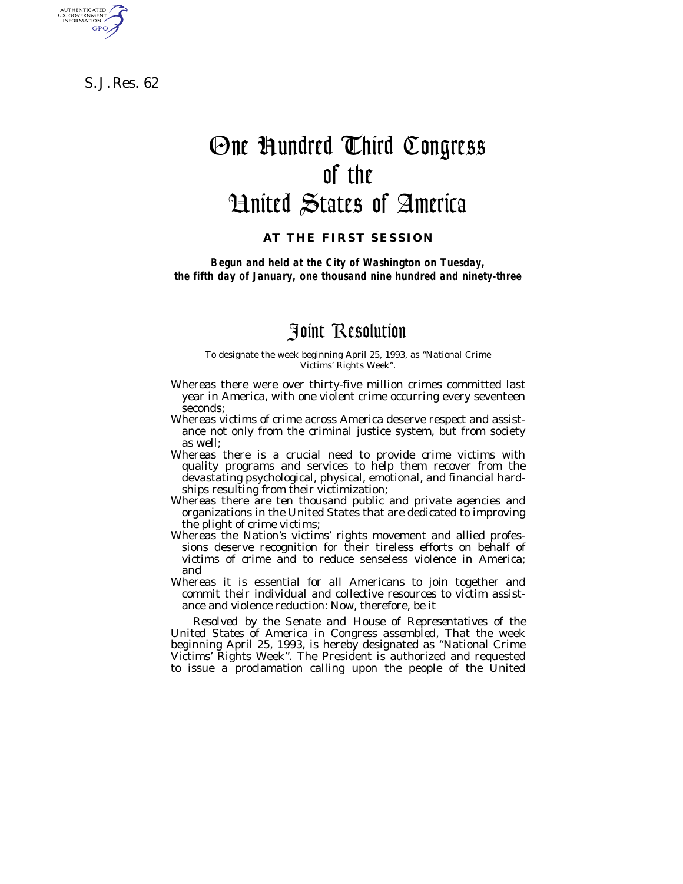S. J. Res. 62

AUTHENTICATED<br>U.S. GOVERNMENT<br>INFORMATION **GPO** 

## One Hundred Third Congress of the United States of America

## **AT THE FIRST SESSION**

*Begun and held at the City of Washington on Tuesday, the fifth day of January, one thousand nine hundred and ninety-three*

## Joint Resolution

To designate the week beginning April 25, 1993, as ''National Crime Victims' Rights Week''.

- Whereas there were over thirty-five million crimes committed last year in America, with one violent crime occurring every seventeen seconds;
- Whereas victims of crime across America deserve respect and assistance not only from the criminal justice system, but from society as well;
- Whereas there is a crucial need to provide crime victims with quality programs and services to help them recover from the devastating psychological, physical, emotional, and financial hardships resulting from their victimization;
- Whereas there are ten thousand public and private agencies and organizations in the United States that are dedicated to improving the plight of crime victims;
- Whereas the Nation's victims' rights movement and allied professions deserve recognition for their tireless efforts on behalf of victims of crime and to reduce senseless violence in America; and
- Whereas it is essential for all Americans to join together and commit their individual and collective resources to victim assistance and violence reduction: Now, therefore, be it

*Resolved by the Senate and House of Representatives of the United States of America in Congress assembled,* That the week beginning April 25, 1993, is hereby designated as ''National Crime Victims' Rights Week''. The President is authorized and requested to issue a proclamation calling upon the people of the United